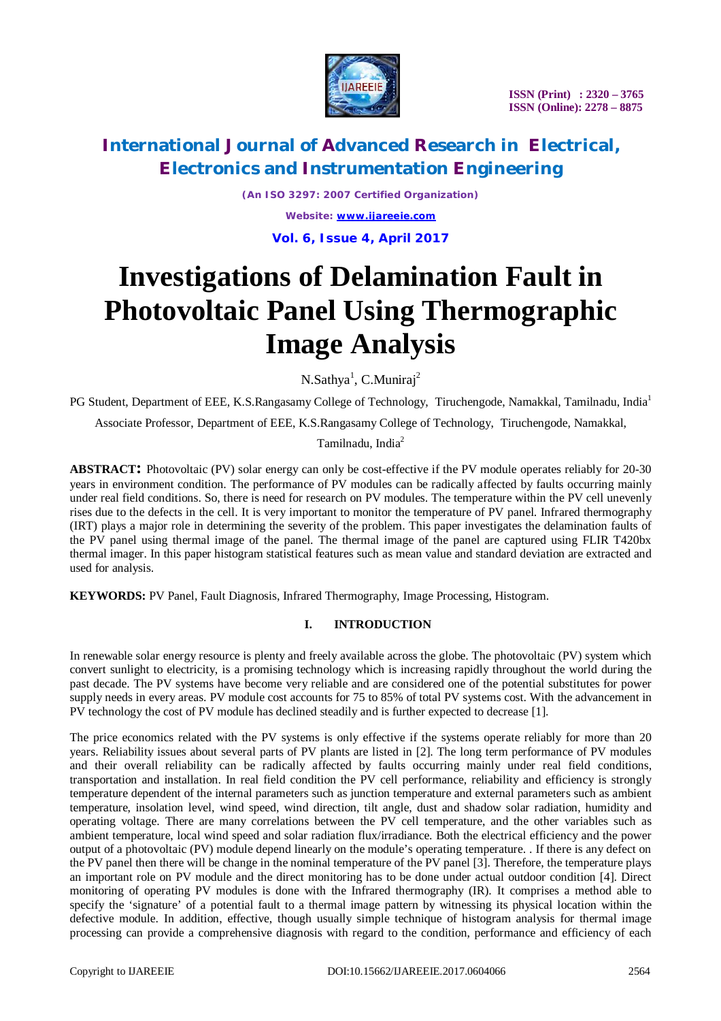

# **International Journal of Advanced Research in Electrical, Electronics and Instrumentation Engineering**

*(An ISO 3297: 2007 Certified Organization) Website: [www.ijareeie.com](http://www.ijareeie.com)* **Vol. 6, Issue 4, April 2017**

# **Investigations of Delamination Fault in Photovoltaic Panel Using Thermographic Image Analysis**

N.Sathya<sup>1</sup>, C.Muniraj<sup>2</sup>

PG Student, Department of EEE, K.S.Rangasamy College of Technology, Tiruchengode, Namakkal, Tamilnadu, India<sup>1</sup>

Associate Professor, Department of EEE, K.S.Rangasamy College of Technology, Tiruchengode, Namakkal,

Tamilnadu, India<sup>2</sup>

**ABSTRACT:** Photovoltaic (PV) solar energy can only be cost-effective if the PV module operates reliably for 20-30 years in environment condition. The performance of PV modules can be radically affected by faults occurring mainly under real field conditions. So, there is need for research on PV modules. The temperature within the PV cell unevenly rises due to the defects in the cell. It is very important to monitor the temperature of PV panel. Infrared thermography (IRT) plays a major role in determining the severity of the problem. This paper investigates the delamination faults of the PV panel using thermal image of the panel. The thermal image of the panel are captured using FLIR T420bx thermal imager. In this paper histogram statistical features such as mean value and standard deviation are extracted and used for analysis.

**KEYWORDS:** PV Panel, Fault Diagnosis, Infrared Thermography, Image Processing, Histogram.

### **I. INTRODUCTION**

In renewable solar energy resource is plenty and freely available across the globe. The photovoltaic (PV) system which convert sunlight to electricity, is a promising technology which is increasing rapidly throughout the world during the past decade. The PV systems have become very reliable and are considered one of the potential substitutes for power supply needs in every areas. PV module cost accounts for 75 to 85% of total PV systems cost. With the advancement in PV technology the cost of PV module has declined steadily and is further expected to decrease [1].

The price economics related with the PV systems is only effective if the systems operate reliably for more than 20 years. Reliability issues about several parts of PV plants are listed in [2]. The long term performance of PV modules and their overall reliability can be radically affected by faults occurring mainly under real field conditions, transportation and installation. In real field condition the PV cell performance, reliability and efficiency is strongly temperature dependent of the internal parameters such as junction temperature and external parameters such as ambient temperature, insolation level, wind speed, wind direction, tilt angle, dust and shadow solar radiation, humidity and operating voltage. There are many correlations between the PV cell temperature, and the other variables such as ambient temperature, local wind speed and solar radiation flux/irradiance. Both the electrical efficiency and the power output of a photovoltaic (PV) module depend linearly on the module's operating temperature. . If there is any defect on the PV panel then there will be change in the nominal temperature of the PV panel [3]. Therefore, the temperature plays an important role on PV module and the direct monitoring has to be done under actual outdoor condition [4]. Direct monitoring of operating PV modules is done with the Infrared thermography (IR). It comprises a method able to specify the 'signature' of a potential fault to a thermal image pattern by witnessing its physical location within the defective module. In addition, effective, though usually simple technique of histogram analysis for thermal image processing can provide a comprehensive diagnosis with regard to the condition, performance and efficiency of each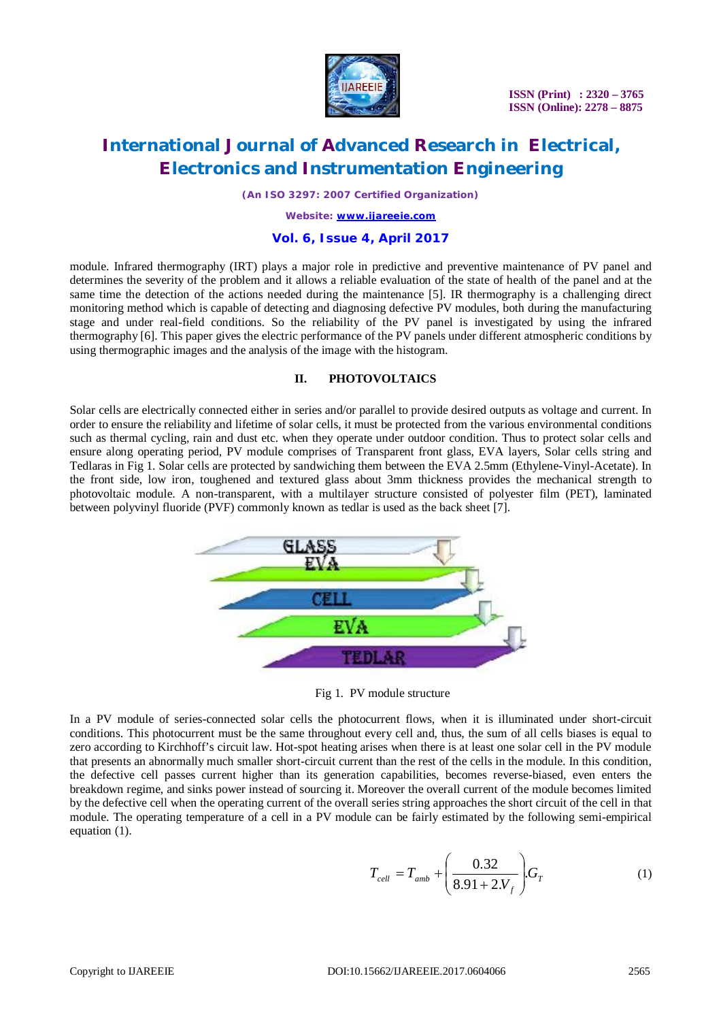

# **International Journal of Advanced Research in Electrical, Electronics and Instrumentation Engineering**

*(An ISO 3297: 2007 Certified Organization)*

*Website: [www.ijareeie.com](http://www.ijareeie.com)*

### **Vol. 6, Issue 4, April 2017**

module. Infrared thermography (IRT) plays a major role in predictive and preventive maintenance of PV panel and determines the severity of the problem and it allows a reliable evaluation of the state of health of the panel and at the same time the detection of the actions needed during the maintenance [5]. IR thermography is a challenging direct monitoring method which is capable of detecting and diagnosing defective PV modules, both during the manufacturing stage and under real-field conditions. So the reliability of the PV panel is investigated by using the infrared thermography [6]. This paper gives the electric performance of the PV panels under different atmospheric conditions by using thermographic images and the analysis of the image with the histogram.

### **II. PHOTOVOLTAICS**

Solar cells are electrically connected either in series and/or parallel to provide desired outputs as voltage and current. In order to ensure the reliability and lifetime of solar cells, it must be protected from the various environmental conditions such as thermal cycling, rain and dust etc. when they operate under outdoor condition. Thus to protect solar cells and ensure along operating period, PV module comprises of Transparent front glass, EVA layers, Solar cells string and Tedlaras in Fig 1. Solar cells are protected by sandwiching them between the EVA 2.5mm (Ethylene-Vinyl-Acetate). In the front side, low iron, toughened and textured glass about 3mm thickness provides the mechanical strength to photovoltaic module. A non-transparent, with a multilayer structure consisted of polyester film (PET), laminated between polyvinyl fluoride (PVF) commonly known as tedlar is used as the back sheet [7].



Fig 1. PV module structure

In a PV module of series-connected solar cells the photocurrent flows, when it is illuminated under short-circuit conditions. This photocurrent must be the same throughout every cell and, thus, the sum of all cells biases is equal to zero according to Kirchhoff's circuit law. Hot-spot heating arises when there is at least one solar cell in the PV module that presents an abnormally much smaller short-circuit current than the rest of the cells in the module. In this condition, the defective cell passes current higher than its generation capabilities, becomes reverse-biased, even enters the breakdown regime, and sinks power instead of sourcing it. Moreover the overall current of the module becomes limited by the defective cell when the operating current of the overall series string approaches the short circuit of the cell in that module. The operating temperature of a cell in a PV module can be fairly estimated by the following semi-empirical equation (1).

$$
T_{cell} = T_{amb} + \left(\frac{0.32}{8.91 + 2.V_f}\right) G_T
$$
 (1)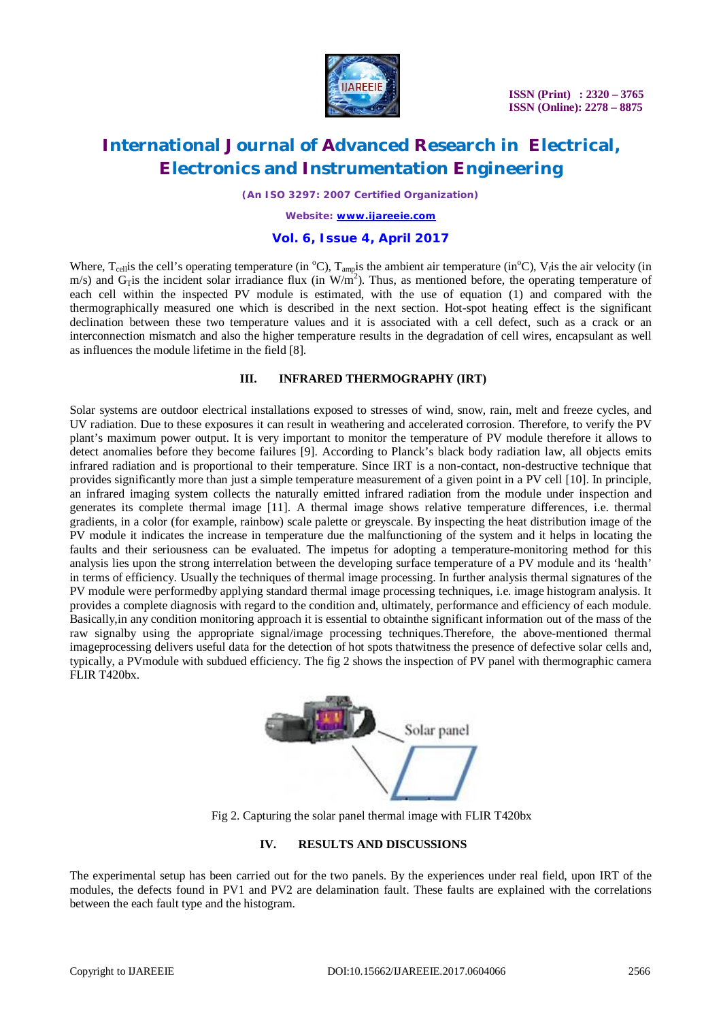

### **International Journal of Advanced Research in Electrical, Electronics and Instrumentation Engineering**

*(An ISO 3297: 2007 Certified Organization)*

*Website: [www.ijareeie.com](http://www.ijareeie.com)*

### **Vol. 6, Issue 4, April 2017**

Where,  $T_{cell}$  is the cell's operating temperature (in  $^{\circ}C$ ),  $T_{amp}$  is the ambient air temperature (in $^{\circ}C$ ),  $V_f$  is the air velocity (in m/s) and G<sub>T</sub> is the incident solar irradiance flux (in W/m<sup>2</sup>). Thus, as mentioned before, the operating temperature of each cell within the inspected PV module is estimated, with the use of equation (1) and compared with the thermographically measured one which is described in the next section. Hot-spot heating effect is the significant declination between these two temperature values and it is associated with a cell defect, such as a crack or an interconnection mismatch and also the higher temperature results in the degradation of cell wires, encapsulant as well as influences the module lifetime in the field [8].

#### **III. INFRARED THERMOGRAPHY (IRT)**

Solar systems are outdoor electrical installations exposed to stresses of wind, snow, rain, melt and freeze cycles, and UV radiation. Due to these exposures it can result in weathering and accelerated corrosion. Therefore, to verify the PV plant's maximum power output. It is very important to monitor the temperature of PV module therefore it allows to detect anomalies before they become failures [9]. According to Planck's black body radiation law, all objects emits infrared radiation and is proportional to their temperature. Since IRT is a non-contact, non-destructive technique that provides significantly more than just a simple temperature measurement of a given point in a PV cell [10]. In principle, an infrared imaging system collects the naturally emitted infrared radiation from the module under inspection and generates its complete thermal image [11]. A thermal image shows relative temperature differences, i.e. thermal gradients, in a color (for example, rainbow) scale palette or greyscale. By inspecting the heat distribution image of the PV module it indicates the increase in temperature due the malfunctioning of the system and it helps in locating the faults and their seriousness can be evaluated. The impetus for adopting a temperature-monitoring method for this analysis lies upon the strong interrelation between the developing surface temperature of a PV module and its 'health' in terms of efficiency. Usually the techniques of thermal image processing. In further analysis thermal signatures of the PV module were performedby applying standard thermal image processing techniques, i.e. image histogram analysis. It provides a complete diagnosis with regard to the condition and, ultimately, performance and efficiency of each module. Basically,in any condition monitoring approach it is essential to obtainthe significant information out of the mass of the raw signalby using the appropriate signal/image processing techniques.Therefore, the above-mentioned thermal imageprocessing delivers useful data for the detection of hot spots thatwitness the presence of defective solar cells and, typically, a PVmodule with subdued efficiency. The fig 2 shows the inspection of PV panel with thermographic camera FLIR T420bx.



Fig 2. Capturing the solar panel thermal image with FLIR T420bx

### **IV. RESULTS AND DISCUSSIONS**

The experimental setup has been carried out for the two panels. By the experiences under real field, upon IRT of the modules, the defects found in PV1 and PV2 are delamination fault. These faults are explained with the correlations between the each fault type and the histogram.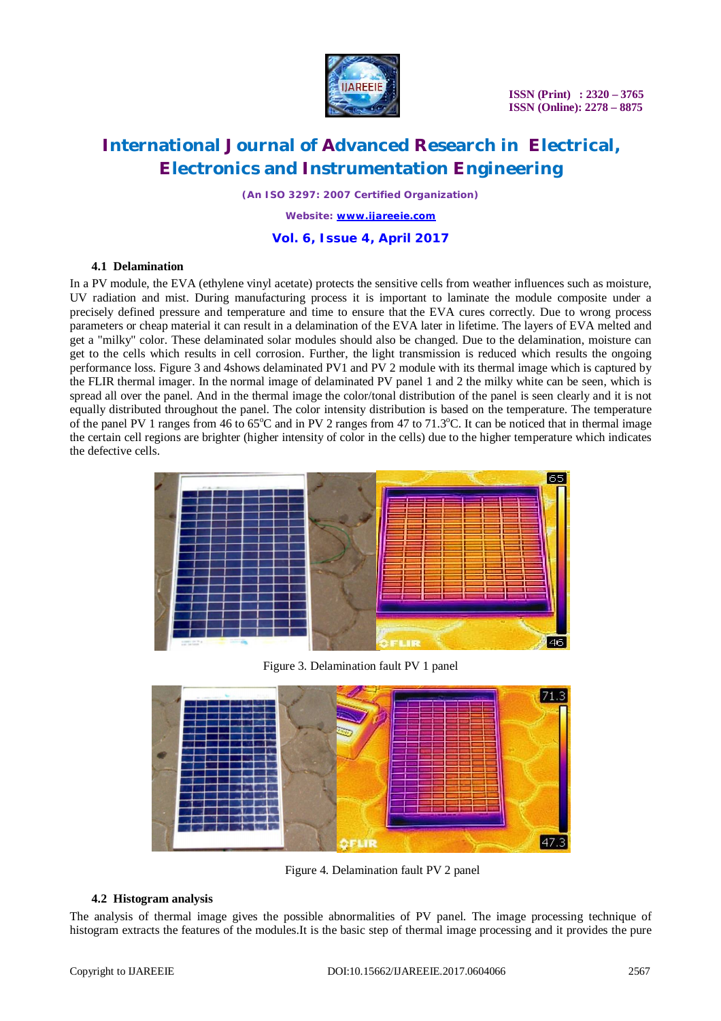

# **International Journal of Advanced Research in Electrical, Electronics and Instrumentation Engineering**

*(An ISO 3297: 2007 Certified Organization)*

*Website: [www.ijareeie.com](http://www.ijareeie.com)*

**Vol. 6, Issue 4, April 2017**

#### **4.1 Delamination**

In a PV module, the EVA (ethylene vinyl acetate) protects the sensitive cells from weather influences such as moisture, UV radiation and mist. During manufacturing process it is important to laminate the module composite under a precisely defined pressure and temperature and time to ensure that the EVA cures correctly. Due to wrong process parameters or cheap material it can result in a delamination of the EVA later in lifetime. The layers of EVA melted and get a "milky" color. These delaminated solar modules should also be changed. Due to the delamination, moisture can get to the cells which results in cell corrosion. Further, the light transmission is reduced which results the ongoing performance loss. Figure 3 and 4shows delaminated PV1 and PV 2 module with its thermal image which is captured by the FLIR thermal imager. In the normal image of delaminated PV panel 1 and 2 the milky white can be seen, which is spread all over the panel. And in the thermal image the color/tonal distribution of the panel is seen clearly and it is not equally distributed throughout the panel. The color intensity distribution is based on the temperature. The temperature of the panel PV 1 ranges from 46 to  $65^{\circ}$ C and in PV 2 ranges from 47 to 71.3 $^{\circ}$ C. It can be noticed that in thermal image the certain cell regions are brighter (higher intensity of color in the cells) due to the higher temperature which indicates the defective cells.



Figure 3. Delamination fault PV 1 panel



Figure 4. Delamination fault PV 2 panel

#### **4.2 Histogram analysis**

The analysis of thermal image gives the possible abnormalities of PV panel. The image processing technique of histogram extracts the features of the modules.It is the basic step of thermal image processing and it provides the pure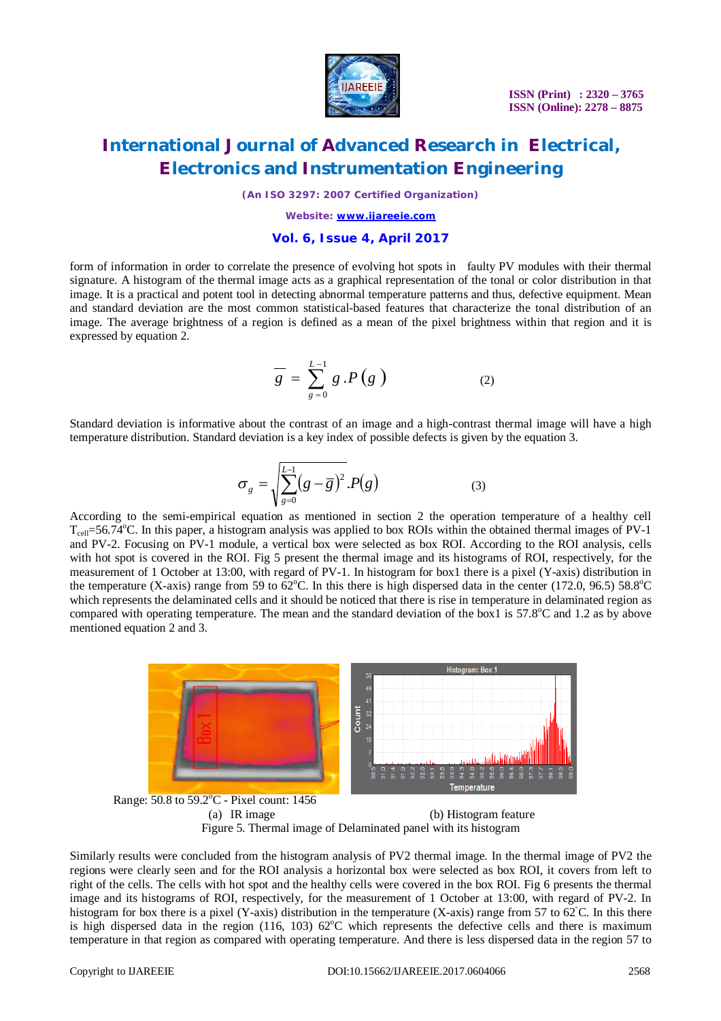

### **International Journal of Advanced Research in Electrical, Electronics and Instrumentation Engineering**

*(An ISO 3297: 2007 Certified Organization)*

*Website: [www.ijareeie.com](http://www.ijareeie.com)*

#### **Vol. 6, Issue 4, April 2017**

form of information in order to correlate the presence of evolving hot spots in faulty PV modules with their thermal signature. A histogram of the thermal image acts as a graphical representation of the tonal or color distribution in that image. It is a practical and potent tool in detecting abnormal temperature patterns and thus, defective equipment. Mean and standard deviation are the most common statistical-based features that characterize the tonal distribution of an image. The average brightness of a region is defined as a mean of the pixel brightness within that region and it is expressed by equation 2.

$$
\overline{g} = \sum_{g=0}^{L-1} g \cdot P(g) \tag{2}
$$

Standard deviation is informative about the contrast of an image and a high-contrast thermal image will have a high temperature distribution. Standard deviation is a key index of possible defects is given by the equation 3.

$$
\sigma_g = \sqrt{\sum_{g=0}^{L-1} (g - \overline{g})^2} . P(g) \tag{3}
$$

According to the semi-empirical equation as mentioned in section 2 the operation temperature of a healthy cell  $T_{\text{cell}}$ =56.74°C. In this paper, a histogram analysis was applied to box ROIs within the obtained thermal images of PV-1 and PV-2. Focusing on PV-1 module, a vertical box were selected as box ROI. According to the ROI analysis, cells with hot spot is covered in the ROI. Fig 5 present the thermal image and its histograms of ROI, respectively, for the measurement of 1 October at 13:00, with regard of PV-1. In histogram for box1 there is a pixel (Y-axis) distribution in the temperature (X-axis) range from 59 to  $62^{\circ}$ C. In this there is high dispersed data in the center (172.0, 96.5) 58.8 $^{\circ}$ C which represents the delaminated cells and it should be noticed that there is rise in temperature in delaminated region as compared with operating temperature. The mean and the standard deviation of the box1 is  $57.8^{\circ}$ C and 1.2 as by above mentioned equation 2 and 3.



(b) Histogram feature Figure 5. Thermal image of Delaminated panel with its histogram

Similarly results were concluded from the histogram analysis of PV2 thermal image. In the thermal image of PV2 the regions were clearly seen and for the ROI analysis a horizontal box were selected as box ROI, it covers from left to right of the cells. The cells with hot spot and the healthy cells were covered in the box ROI. Fig 6 presents the thermal image and its histograms of ROI, respectively, for the measurement of 1 October at 13:00, with regard of PV-2. In histogram for box there is a pixel (Y-axis) distribution in the temperature (X-axis) range from 57 to 62°C. In this there is high dispersed data in the region (116, 103)  $62^{\circ}$ C which represents the defective cells and there is maximum temperature in that region as compared with operating temperature. And there is less dispersed data in the region 57 to